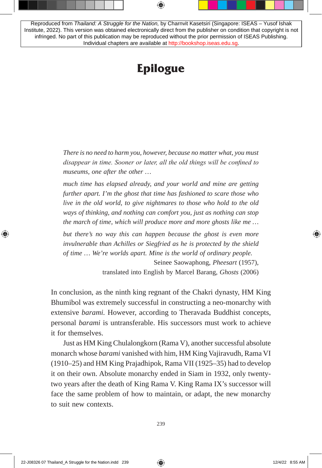Reproduced from *Thailand: A Struggle for the Nation,* by Charnvit Kasetsiri (Singapore: ISEAS – Yusof Ishak Institute, 2022). This version was obtained electronically direct from the publisher on condition that copyright is not infringed. No part of this publication may be reproduced without the prior permission of ISEAS Publishing. Individual chapters are available at [http://bookshop.iseas.edu.sg.](http://bookshop.iseas.edu.sg)

## **Epilogue**

*There is no need to harm you, however, because no matter what, you must disappear in time. Sooner or later, all the old things will be confined to museums, one after the other …*

*much time has elapsed already, and your world and mine are getting further apart. I'm the ghost that time has fashioned to scare those who live in the old world, to give nightmares to those who hold to the old ways of thinking, and nothing can comfort you, just as nothing can stop the march of time, which will produce more and more ghosts like me …*

*but there's no way this can happen because the ghost is even more invulnerable than Achilles or Siegfried as he is protected by the shield of time … We're worlds apart. Mine is the world of ordinary people.*

> Seinee Saowaphong, *Pheesart* (1957), translated into English by Marcel Barang, *Ghosts* (2006)

In conclusion, as the ninth king regnant of the Chakri dynasty, HM King Bhumibol was extremely successful in constructing a neo-monarchy with extensive *barami.* However, according to Theravada Buddhist concepts, personal *barami* is untransferable. His successors must work to achieve it for themselves.

Just as HM King Chulalongkorn (Rama V), another successful absolute monarch whose *barami* vanished with him, HM King Vajiravudh, Rama VI (1910–25) and HM King Prajadhipok, Rama VII (1925–35) had to develop it on their own. Absolute monarchy ended in Siam in 1932, only twentytwo years after the death of King Rama V. King Rama IX's successor will face the same problem of how to maintain, or adapt, the new monarchy to suit new contexts.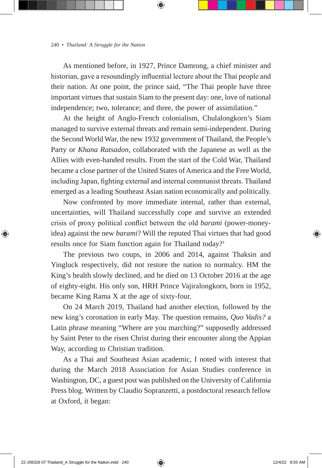As mentioned before, in 1927, Prince Damrong, a chief minister and historian, gave a resoundingly influential lecture about the Thai people and their nation. At one point, the prince said, "The Thai people have three important virtues that sustain Siam to the present day: one, love of national independence; two, tolerance; and three, the power of assimilation."

At the height of Anglo-French colonialism, Chulalongkorn's Siam managed to survive external threats and remain semi-independent. During the Second World War, the new 1932 government of Thailand, the People's Party or *Khana Ratsadon*, collaborated with the Japanese as well as the Allies with even-handed results. From the start of the Cold War, Thailand became a close partner of the United States of America and the Free World, including Japan, fighting external and internal communist threats. Thailand emerged as a leading Southeast Asian nation economically and politically.

Now confronted by more immediate internal, rather than external, uncertainties, will Thailand successfully cope and survive an extended crisis of proxy political conflict between the old *barami* (power-moneyidea) against the new *barami*? Will the reputed Thai virtues that had good results once for Siam function again for Thailand today?<sup>1</sup>

The previous two coups, in 2006 and 2014, against Thaksin and Yingluck respectively, did not restore the nation to normalcy. HM the King's health slowly declined, and he died on 13 October 2016 at the age of eighty-eight. His only son, HRH Prince Vajiralongkorn, born in 1952, became King Rama X at the age of sixty-four.

On 24 March 2019, Thailand had another election, followed by the new king's coronation in early May. The question remains, *Quo Vadis?* a Latin phrase meaning "Where are you marching?" supposedly addressed by Saint Peter to the risen Christ during their encounter along the Appian Way, according to Christian tradition.

As a Thai and Southeast Asian academic, I noted with interest that during the March 2018 Association for Asian Studies conference in Washington, DC, a guest post was published on the University of California Press blog. Written by Claudio Sopranzetti, a postdoctoral research fellow at Oxford, it began: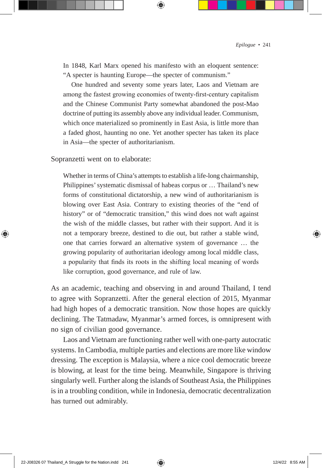In 1848, Karl Marx opened his manifesto with an eloquent sentence: "A specter is haunting Europe—the specter of communism."

One hundred and seventy some years later, Laos and Vietnam are among the fastest growing economies of twenty-first-century capitalism and the Chinese Communist Party somewhat abandoned the post-Mao doctrine of putting its assembly above any individual leader. Communism, which once materialized so prominently in East Asia, is little more than a faded ghost, haunting no one. Yet another specter has taken its place in Asia—the specter of authoritarianism.

Sopranzetti went on to elaborate:

Whether in terms of China's attempts to establish a life-long chairmanship, Philippines' systematic dismissal of habeas corpus or … Thailand's new forms of constitutional dictatorship, a new wind of authoritarianism is blowing over East Asia. Contrary to existing theories of the "end of history" or of "democratic transition," this wind does not waft against the wish of the middle classes, but rather with their support. And it is not a temporary breeze, destined to die out, but rather a stable wind, one that carries forward an alternative system of governance … the growing popularity of authoritarian ideology among local middle class, a popularity that finds its roots in the shifting local meaning of words like corruption, good governance, and rule of law.

As an academic, teaching and observing in and around Thailand, I tend to agree with Sopranzetti. After the general election of 2015, Myanmar had high hopes of a democratic transition. Now those hopes are quickly declining. The Tatmadaw, Myanmar's armed forces, is omnipresent with no sign of civilian good governance.

Laos and Vietnam are functioning rather well with one-party autocratic systems. In Cambodia, multiple parties and elections are more like window dressing. The exception is Malaysia, where a nice cool democratic breeze is blowing, at least for the time being. Meanwhile, Singapore is thriving singularly well. Further along the islands of Southeast Asia, the Philippines is in a troubling condition, while in Indonesia, democratic decentralization has turned out admirably.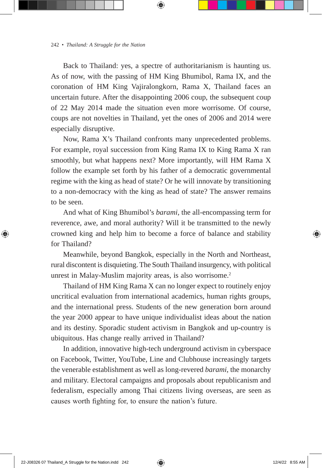Back to Thailand: yes, a spectre of authoritarianism is haunting us. As of now, with the passing of HM King Bhumibol, Rama IX, and the coronation of HM King Vajiralongkorn, Rama X, Thailand faces an uncertain future. After the disappointing 2006 coup, the subsequent coup of 22 May 2014 made the situation even more worrisome. Of course, coups are not novelties in Thailand, yet the ones of 2006 and 2014 were especially disruptive.

Now, Rama X's Thailand confronts many unprecedented problems. For example, royal succession from King Rama IX to King Rama X ran smoothly, but what happens next? More importantly, will HM Rama X follow the example set forth by his father of a democratic governmental regime with the king as head of state? Or he will innovate by transitioning to a non-democracy with the king as head of state? The answer remains to be seen.

And what of King Bhumibol's *barami*, the all-encompassing term for reverence, awe, and moral authority? Will it be transmitted to the newly crowned king and help him to become a force of balance and stability for Thailand?

Meanwhile, beyond Bangkok, especially in the North and Northeast, rural discontent is disquieting. The South Thailand insurgency, with political unrest in Malay-Muslim majority areas, is also worrisome.<sup>2</sup>

Thailand of HM King Rama X can no longer expect to routinely enjoy uncritical evaluation from international academics, human rights groups, and the international press. Students of the new generation born around the year 2000 appear to have unique individualist ideas about the nation and its destiny. Sporadic student activism in Bangkok and up-country is ubiquitous. Has change really arrived in Thailand?

In addition, innovative high-tech underground activism in cyberspace on Facebook, Twitter, YouTube, Line and Clubhouse increasingly targets the venerable establishment as well as long-revered *barami*, the monarchy and military. Electoral campaigns and proposals about republicanism and federalism, especially among Thai citizens living overseas, are seen as causes worth fighting for, to ensure the nation's future.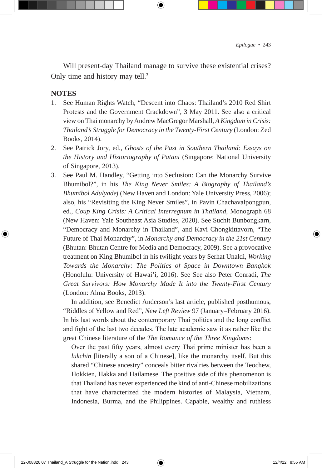Will present-day Thailand manage to survive these existential crises? Only time and history may tell.<sup>3</sup>

## **NOTES**

- 1. See Human Rights Watch, "Descent into Chaos: Thailand's 2010 Red Shirt Protests and the Government Crackdown", 3 May 2011. See also a critical view on Thai monarchy by Andrew MacGregor Marshall, *A Kingdom in Crisis: Thailand's Struggle for Democracy in the Twenty-First Century* (London: Zed Books, 2014).
- 2. See Patrick Jory, ed., *Ghosts of the Past in Southern Thailand: Essays on the History and Historiography of Patani* (Singapore: National University of Singapore, 2013).
- 3. See Paul M. Handley, "Getting into Seclusion: Can the Monarchy Survive Bhumibol?", in his *The King Never Smiles: A Biography of Thailand's Bhumibol Adulyadej* (New Haven and London: Yale University Press, 2006); also, his "Revisiting the King Never Smiles", in Pavin Chachavalpongpun, ed., *Coup King Crisis: A Critical Interregnum in Thailand*, Monograph 68 (New Haven: Yale Southeast Asia Studies, 2020). See Suchit Bunbongkarn, "Democracy and Monarchy in Thailand", and Kavi Chongkittavorn, "The Future of Thai Monarchy", in *Monarchy and Democracy in the 21st Century* (Bhutan: Bhutan Centre for Media and Democracy, 2009). See a provocative treatment on King Bhumibol in his twilight years by Serhat Unaldi, *Working Towards the Monarchy: The Politics of Space in Downtown Bangkok* (Honolulu: University of Hawai'i, 2016). See See also Peter Conradi, *The Great Survivors: How Monarchy Made It into the Twenty-First Century* (London: Alma Books, 2013).

 In addition, see Benedict Anderson's last article, published posthumous, "Riddles of Yellow and Red", *New Left Review* 97 (January–February 2016). In his last words about the contemporary Thai politics and the long conflict and fight of the last two decades. The late academic saw it as rather like the great Chinese literature of the *The Romance of the Three Kingdoms*:

Over the past fifty years, almost every Thai prime minister has been a *lukchin* [literally a son of a Chinese], like the monarchy itself. But this shared "Chinese ancestry" conceals bitter rivalries between the Teochew, Hokkien, Hakka and Hailamese. The positive side of this phenomenon is that Thailand has never experienced the kind of anti-Chinese mobilizations that have characterized the modern histories of Malaysia, Vietnam, Indonesia, Burma, and the Philippines. Capable, wealthy and ruthless